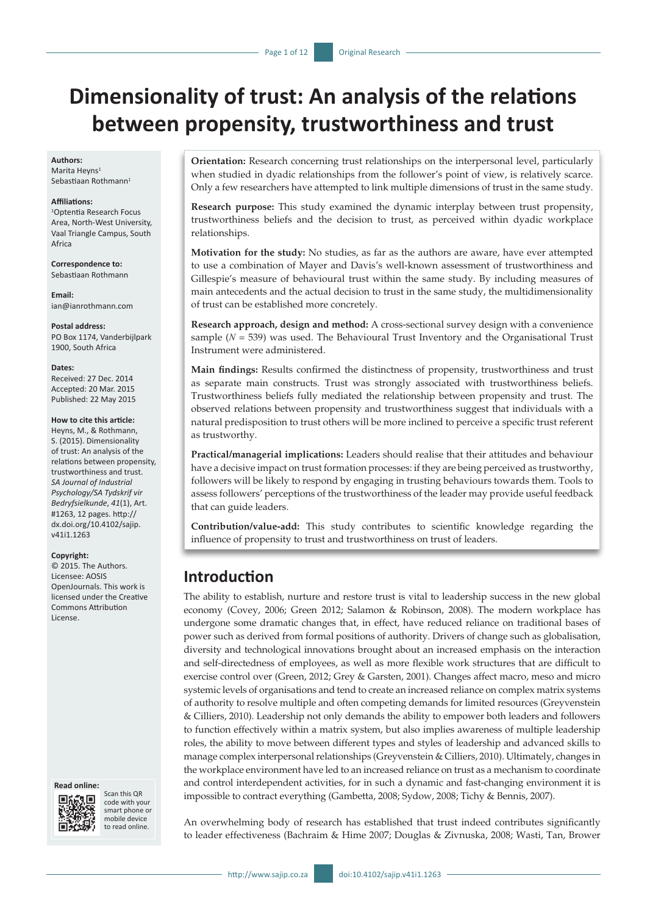# **Dimensionality of trust: An analysis of the relations between propensity, trustworthiness and trust**

#### **Authors:**

Marita Heyns<sup>1</sup> Sebastiaan Rothmann1

#### **Affiliations:**

1 Optentia Research Focus Area, North-West University, Vaal Triangle Campus, South Africa

**Correspondence to:** Sebastiaan Rothmann

**Email:** [ian@ianrothmann.com](mailto:ian@ianrothmann.com)

**Postal address:** PO Box 1174, Vanderbijlpark 1900, South Africa

#### **Dates:**

Received: 27 Dec. 2014 Accepted: 20 Mar. 2015 Published: 22 May 2015

#### **How to cite this article:**

Heyns, M., & Rothmann, S. (2015). Dimensionality of trust: An analysis of the relations between propensity, trustworthiness and trust. *SA Journal of Industrial Psychology/SA Tydskrif vir Bedryfsielkunde*, *41*(1), Art. #1263, 12 pages. [http://](http://dx.doi.org/10.4102/sajip.v41i1.1263) [dx.doi.org/10.4102/sajip.](http://dx.doi.org/10.4102/sajip.v41i1.1263) [v41i1.1263](http://dx.doi.org/10.4102/sajip.v41i1.1263)

#### **Copyright:**

© 2015. The Authors. Licensee: AOSIS OpenJournals. This work is licensed under the Creative Commons Attribution License.

#### **Read online:**



Scan this QR code with your smart phone or mobile device to read online.

**Orientation:** Research concerning trust relationships on the interpersonal level, particularly when studied in dyadic relationships from the follower's point of view, is relatively scarce. Only a few researchers have attempted to link multiple dimensions of trust in the same study.

**Research purpose:** This study examined the dynamic interplay between trust propensity, trustworthiness beliefs and the decision to trust, as perceived within dyadic workplace relationships.

**Motivation for the study:** No studies, as far as the authors are aware, have ever attempted to use a combination of Mayer and Davis's well-known assessment of trustworthiness and Gillespie's measure of behavioural trust within the same study. By including measures of main antecedents and the actual decision to trust in the same study, the multidimensionality of trust can be established more concretely.

**Research approach, design and method:** A cross-sectional survey design with a convenience sample  $(N = 539)$  was used. The Behavioural Trust Inventory and the Organisational Trust Instrument were administered.

**Main findings:** Results confirmed the distinctness of propensity, trustworthiness and trust as separate main constructs. Trust was strongly associated with trustworthiness beliefs. Trustworthiness beliefs fully mediated the relationship between propensity and trust. The observed relations between propensity and trustworthiness suggest that individuals with a natural predisposition to trust others will be more inclined to perceive a specific trust referent as trustworthy.

**Practical/managerial implications:** Leaders should realise that their attitudes and behaviour have a decisive impact on trust formation processes: if they are being perceived as trustworthy, followers will be likely to respond by engaging in trusting behaviours towards them. Tools to assess followers' perceptions of the trustworthiness of the leader may provide useful feedback that can guide leaders.

**Contribution/value-add:** This study contributes to scientific knowledge regarding the influence of propensity to trust and trustworthiness on trust of leaders.

### **Introduction**

The ability to establish, nurture and restore trust is vital to leadership success in the new global economy (Covey, 2006; Green 2012; Salamon & Robinson, 2008). The modern workplace has undergone some dramatic changes that, in effect, have reduced reliance on traditional bases of power such as derived from formal positions of authority. Drivers of change such as globalisation, diversity and technological innovations brought about an increased emphasis on the interaction and self-directedness of employees, as well as more flexible work structures that are difficult to exercise control over (Green, 2012; Grey & Garsten, 2001). Changes affect macro, meso and micro systemic levels of organisations and tend to create an increased reliance on complex matrix systems of authority to resolve multiple and often competing demands for limited resources (Greyvenstein & Cilliers, 2010). Leadership not only demands the ability to empower both leaders and followers to function effectively within a matrix system, but also implies awareness of multiple leadership roles, the ability to move between different types and styles of leadership and advanced skills to manage complex interpersonal relationships (Greyvenstein & Cilliers, 2010). Ultimately, changes in the workplace environment have led to an increased reliance on trust as a mechanism to coordinate and control interdependent activities, for in such a dynamic and fast-changing environment it is impossible to contract everything (Gambetta, 2008; Sydow, 2008; Tichy & Bennis, 2007).

An overwhelming body of research has established that trust indeed contributes significantly to leader effectiveness (Bachraim & Hime 2007; Douglas & Zivnuska, 2008; Wasti, Tan, Brower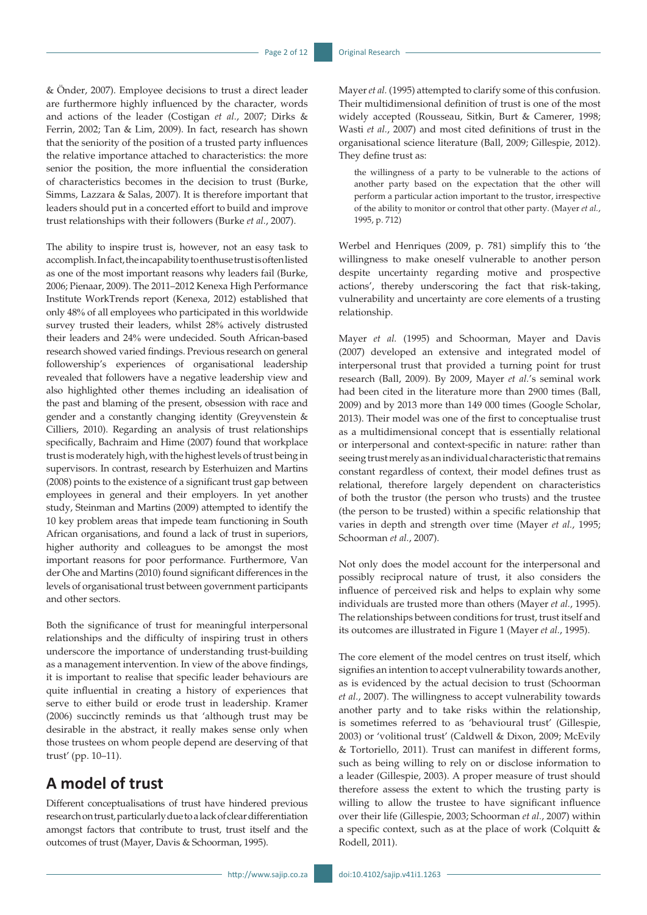& Önder, 2007). Employee decisions to trust a direct leader are furthermore highly influenced by the character, words and actions of the leader (Costigan *et al.*, 2007; Dirks & Ferrin, 2002; Tan & Lim, 2009). In fact, research has shown that the seniority of the position of a trusted party influences the relative importance attached to characteristics: the more senior the position, the more influential the consideration of characteristics becomes in the decision to trust (Burke, Simms, Lazzara & Salas, 2007). It is therefore important that leaders should put in a concerted effort to build and improve trust relationships with their followers (Burke *et al.*, 2007).

The ability to inspire trust is, however, not an easy task to accomplish. In fact, the incapability to enthuse trust is often listed as one of the most important reasons why leaders fail (Burke, 2006; Pienaar, 2009). The 2011–2012 Kenexa High Performance Institute WorkTrends report (Kenexa, 2012) established that only 48% of all employees who participated in this worldwide survey trusted their leaders, whilst 28% actively distrusted their leaders and 24% were undecided. South African-based research showed varied findings. Previous research on general followership's experiences of organisational leadership revealed that followers have a negative leadership view and also highlighted other themes including an idealisation of the past and blaming of the present, obsession with race and gender and a constantly changing identity (Greyvenstein & Cilliers, 2010). Regarding an analysis of trust relationships specifically, Bachraim and Hime (2007) found that workplace trust is moderately high, with the highest levels of trust being in supervisors. In contrast, research by Esterhuizen and Martins (2008) points to the existence of a significant trust gap between employees in general and their employers. In yet another study, Steinman and Martins (2009) attempted to identify the 10 key problem areas that impede team functioning in South African organisations, and found a lack of trust in superiors, higher authority and colleagues to be amongst the most important reasons for poor performance. Furthermore, Van der Ohe and Martins (2010) found significant differences in the levels of organisational trust between government participants and other sectors.

Both the significance of trust for meaningful interpersonal relationships and the difficulty of inspiring trust in others underscore the importance of understanding trust-building as a management intervention. In view of the above findings, it is important to realise that specific leader behaviours are quite influential in creating a history of experiences that serve to either build or erode trust in leadership. Kramer (2006) succinctly reminds us that 'although trust may be desirable in the abstract, it really makes sense only when those trustees on whom people depend are deserving of that trust' (pp. 10–11).

# **A model of trust**

Different conceptualisations of trust have hindered previous research on trust, particularly due to a lack of clear differentiation amongst factors that contribute to trust, trust itself and the outcomes of trust (Mayer, Davis & Schoorman, 1995).

Mayer *et al.* (1995) attempted to clarify some of this confusion. Their multidimensional definition of trust is one of the most widely accepted (Rousseau, Sitkin, Burt & Camerer, 1998; Wasti *et al.*, 2007) and most cited definitions of trust in the organisational science literature (Ball, 2009; Gillespie, 2012). They define trust as:

the willingness of a party to be vulnerable to the actions of another party based on the expectation that the other will perform a particular action important to the trustor, irrespective of the ability to monitor or control that other party. (Mayer *et al.*, 1995, p. 712)

Werbel and Henriques (2009, p. 781) simplify this to 'the willingness to make oneself vulnerable to another person despite uncertainty regarding motive and prospective actions', thereby underscoring the fact that risk-taking, vulnerability and uncertainty are core elements of a trusting relationship.

Mayer *et al.* (1995) and Schoorman, Mayer and Davis (2007) developed an extensive and integrated model of interpersonal trust that provided a turning point for trust research (Ball, 2009). By 2009, Mayer *et al.*'s seminal work had been cited in the literature more than 2900 times (Ball, 2009) and by 2013 more than 149 000 times (Google Scholar, 2013). Their model was one of the first to conceptualise trust as a multidimensional concept that is essentially relational or interpersonal and context-specific in nature: rather than seeing trust merely as an individual characteristic that remains constant regardless of context, their model defines trust as relational, therefore largely dependent on characteristics of both the trustor (the person who trusts) and the trustee (the person to be trusted) within a specific relationship that varies in depth and strength over time (Mayer *et al.*, 1995; Schoorman *et al.*, 2007).

Not only does the model account for the interpersonal and possibly reciprocal nature of trust, it also considers the influence of perceived risk and helps to explain why some individuals are trusted more than others (Mayer *et al.*, 1995). The relationships between conditions for trust, trust itself and its outcomes are illustrated in Figure 1 (Mayer *et al.*, 1995).

The core element of the model centres on trust itself, which signifies an intention to accept vulnerability towards another, as is evidenced by the actual decision to trust (Schoorman *et al.*, 2007). The willingness to accept vulnerability towards another party and to take risks within the relationship, is sometimes referred to as 'behavioural trust' (Gillespie, 2003) or 'volitional trust' (Caldwell & Dixon, 2009; McEvily & Tortoriello, 2011). Trust can manifest in different forms, such as being willing to rely on or disclose information to a leader (Gillespie, 2003). A proper measure of trust should therefore assess the extent to which the trusting party is willing to allow the trustee to have significant influence over their life (Gillespie, 2003; Schoorman *et al.*, 2007) within a specific context, such as at the place of work (Colquitt & Rodell, 2011).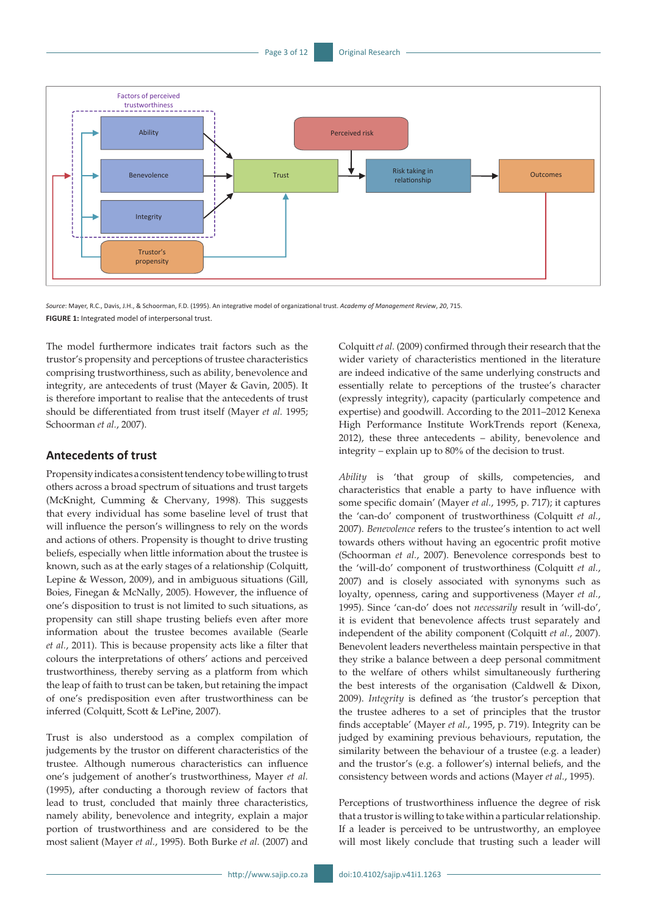

*Source*: Mayer, R.C., Davis, J.H., & Schoorman, F.D. (1995). An integrative model of organizational trust. *Academy of Management Review*, *20*, 715. **FIGURE 1:** Integrated model of interpersonal trust.

The model furthermore indicates trait factors such as the trustor's propensity and perceptions of trustee characteristics comprising trustworthiness, such as ability, benevolence and integrity, are antecedents of trust (Mayer & Gavin, 2005). It is therefore important to realise that the antecedents of trust should be differentiated from trust itself (Mayer *et al.* 1995; Schoorman *et al.*, 2007).

### **Antecedents of trust**

Propensity indicates a consistent tendency to be willing to trust others across a broad spectrum of situations and trust targets (McKnight, Cumming & Chervany, 1998). This suggests that every individual has some baseline level of trust that will influence the person's willingness to rely on the words and actions of others. Propensity is thought to drive trusting beliefs, especially when little information about the trustee is known, such as at the early stages of a relationship (Colquitt, Lepine & Wesson, 2009), and in ambiguous situations (Gill, Boies, Finegan & McNally, 2005). However, the influence of one's disposition to trust is not limited to such situations, as propensity can still shape trusting beliefs even after more information about the trustee becomes available (Searle *et al.*, 2011). This is because propensity acts like a filter that colours the interpretations of others' actions and perceived trustworthiness, thereby serving as a platform from which the leap of faith to trust can be taken, but retaining the impact of one's predisposition even after trustworthiness can be inferred (Colquitt, Scott & LePine, 2007).

Trust is also understood as a complex compilation of judgements by the trustor on different characteristics of the trustee. Although numerous characteristics can influence one's judgement of another's trustworthiness, Mayer *et al.* (1995), after conducting a thorough review of factors that lead to trust, concluded that mainly three characteristics, namely ability, benevolence and integrity, explain a major portion of trustworthiness and are considered to be the most salient (Mayer *et al.*, 1995). Both Burke *et al.* (2007) and

Colquitt *et al.* (2009) confirmed through their research that the wider variety of characteristics mentioned in the literature are indeed indicative of the same underlying constructs and essentially relate to perceptions of the trustee's character (expressly integrity), capacity (particularly competence and expertise) and goodwill. According to the 2011–2012 Kenexa High Performance Institute WorkTrends report (Kenexa, 2012), these three antecedents – ability, benevolence and integrity – explain up to 80% of the decision to trust.

*Ability* is 'that group of skills, competencies, and characteristics that enable a party to have influence with some specific domain' (Mayer *et al.*, 1995, p. 717); it captures the 'can-do' component of trustworthiness (Colquitt *et al.*, 2007). *Benevolence* refers to the trustee's intention to act well towards others without having an egocentric profit motive (Schoorman *et al.*, 2007). Benevolence corresponds best to the 'will-do' component of trustworthiness (Colquitt *et al.*, 2007) and is closely associated with synonyms such as loyalty, openness, caring and supportiveness (Mayer *et al.*, 1995). Since 'can-do' does not *necessarily* result in 'will-do', it is evident that benevolence affects trust separately and independent of the ability component (Colquitt *et al.*, 2007). Benevolent leaders nevertheless maintain perspective in that they strike a balance between a deep personal commitment to the welfare of others whilst simultaneously furthering the best interests of the organisation (Caldwell & Dixon, 2009). *Integrity* is defined as 'the trustor's perception that the trustee adheres to a set of principles that the trustor finds acceptable' (Mayer *et al.*, 1995, p. 719). Integrity can be judged by examining previous behaviours, reputation, the similarity between the behaviour of a trustee (e.g. a leader) and the trustor's (e.g. a follower's) internal beliefs, and the consistency between words and actions (Mayer *et al.*, 1995).

Perceptions of trustworthiness influence the degree of risk that a trustor is willing to take within a particular relationship. If a leader is perceived to be untrustworthy, an employee will most likely conclude that trusting such a leader will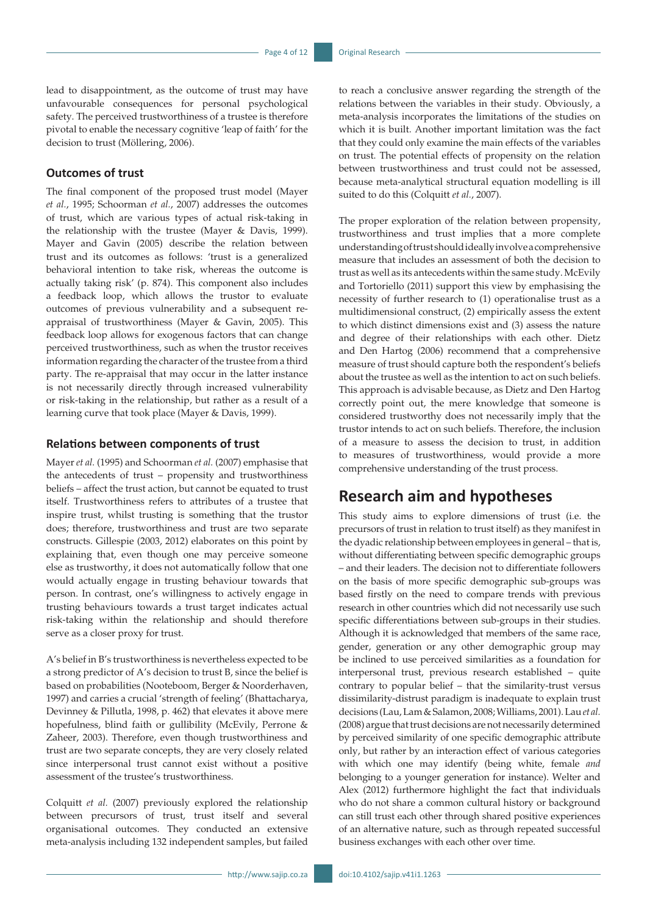lead to disappointment, as the outcome of trust may have unfavourable consequences for personal psychological safety. The perceived trustworthiness of a trustee is therefore pivotal to enable the necessary cognitive 'leap of faith' for the decision to trust (Möllering, 2006).

### **Outcomes of trust**

The final component of the proposed trust model (Mayer *et al.*, 1995; Schoorman *et al.*, 2007) addresses the outcomes of trust, which are various types of actual risk-taking in the relationship with the trustee (Mayer & Davis, 1999). Mayer and Gavin (2005) describe the relation between trust and its outcomes as follows: 'trust is a generalized behavioral intention to take risk, whereas the outcome is actually taking risk' (p. 874). This component also includes a feedback loop, which allows the trustor to evaluate outcomes of previous vulnerability and a subsequent reappraisal of trustworthiness (Mayer & Gavin, 2005). This feedback loop allows for exogenous factors that can change perceived trustworthiness, such as when the trustor receives information regarding the character of the trustee from a third party. The re-appraisal that may occur in the latter instance is not necessarily directly through increased vulnerability or risk-taking in the relationship, but rather as a result of a learning curve that took place (Mayer & Davis, 1999).

#### **Relations between components of trust**

Mayer *et al.* (1995) and Schoorman *et al.* (2007) emphasise that the antecedents of trust – propensity and trustworthiness beliefs – affect the trust action, but cannot be equated to trust itself. Trustworthiness refers to attributes of a trustee that inspire trust, whilst trusting is something that the trustor does; therefore, trustworthiness and trust are two separate constructs. Gillespie (2003, 2012) elaborates on this point by explaining that, even though one may perceive someone else as trustworthy, it does not automatically follow that one would actually engage in trusting behaviour towards that person. In contrast, one's willingness to actively engage in trusting behaviours towards a trust target indicates actual risk-taking within the relationship and should therefore serve as a closer proxy for trust.

A's belief in B's trustworthiness is nevertheless expected to be a strong predictor of A's decision to trust B, since the belief is based on probabilities (Nooteboom, Berger & Noorderhaven, 1997) and carries a crucial 'strength of feeling' (Bhattacharya, Devinney & Pillutla, 1998, p. 462) that elevates it above mere hopefulness, blind faith or gullibility (McEvily, Perrone & Zaheer, 2003). Therefore, even though trustworthiness and trust are two separate concepts, they are very closely related since interpersonal trust cannot exist without a positive assessment of the trustee's trustworthiness.

Colquitt *et al.* (2007) previously explored the relationship between precursors of trust, trust itself and several organisational outcomes. They conducted an extensive meta-analysis including 132 independent samples, but failed to reach a conclusive answer regarding the strength of the relations between the variables in their study. Obviously, a meta-analysis incorporates the limitations of the studies on which it is built. Another important limitation was the fact that they could only examine the main effects of the variables on trust. The potential effects of propensity on the relation between trustworthiness and trust could not be assessed, because meta-analytical structural equation modelling is ill suited to do this (Colquitt *et al.*, 2007).

The proper exploration of the relation between propensity, trustworthiness and trust implies that a more complete understanding of trust should ideally involve a comprehensive measure that includes an assessment of both the decision to trust as well as its antecedents within the same study. McEvily and Tortoriello (2011) support this view by emphasising the necessity of further research to (1) operationalise trust as a multidimensional construct, (2) empirically assess the extent to which distinct dimensions exist and (3) assess the nature and degree of their relationships with each other. Dietz and Den Hartog (2006) recommend that a comprehensive measure of trust should capture both the respondent's beliefs about the trustee as well as the intention to act on such beliefs. This approach is advisable because, as Dietz and Den Hartog correctly point out, the mere knowledge that someone is considered trustworthy does not necessarily imply that the trustor intends to act on such beliefs. Therefore, the inclusion of a measure to assess the decision to trust, in addition to measures of trustworthiness, would provide a more comprehensive understanding of the trust process.

### **Research aim and hypotheses**

This study aims to explore dimensions of trust (i.e. the precursors of trust in relation to trust itself) as they manifest in the dyadic relationship between employees in general – that is, without differentiating between specific demographic groups – and their leaders. The decision not to differentiate followers on the basis of more specific demographic sub-groups was based firstly on the need to compare trends with previous research in other countries which did not necessarily use such specific differentiations between sub-groups in their studies. Although it is acknowledged that members of the same race, gender, generation or any other demographic group may be inclined to use perceived similarities as a foundation for interpersonal trust, previous research established – quite contrary to popular belief – that the similarity-trust versus dissimilarity-distrust paradigm is inadequate to explain trust decisions (Lau, Lam & Salamon, 2008; Williams, 2001). Lau *et al.* (2008) argue that trust decisions are not necessarily determined by perceived similarity of one specific demographic attribute only, but rather by an interaction effect of various categories with which one may identify (being white, female *and*  belonging to a younger generation for instance). Welter and Alex (2012) furthermore highlight the fact that individuals who do not share a common cultural history or background can still trust each other through shared positive experiences of an alternative nature, such as through repeated successful business exchanges with each other over time.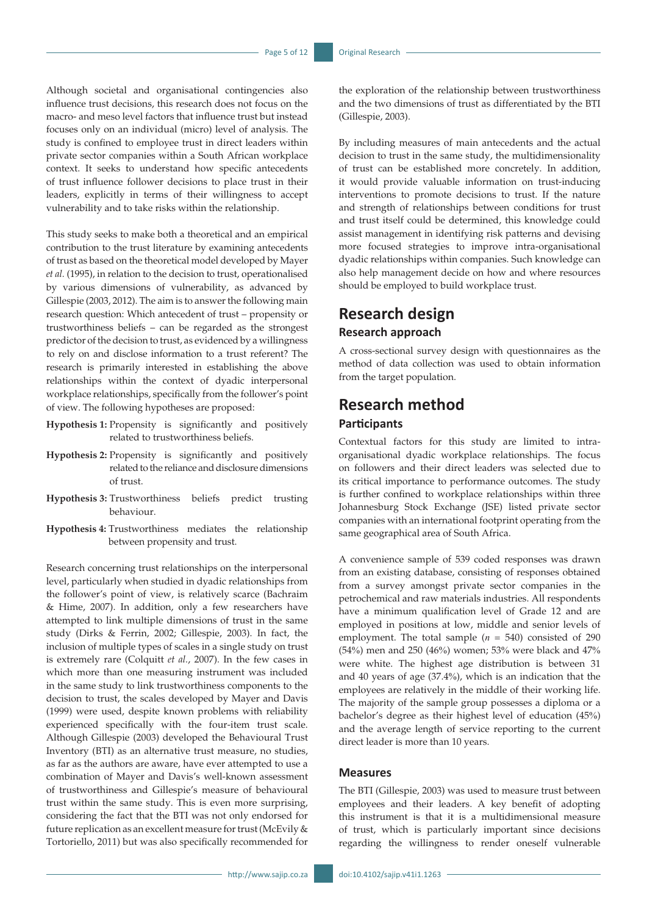Although societal and organisational contingencies also influence trust decisions, this research does not focus on the macro- and meso level factors that influence trust but instead focuses only on an individual (micro) level of analysis. The study is confined to employee trust in direct leaders within private sector companies within a South African workplace context. It seeks to understand how specific antecedents of trust influence follower decisions to place trust in their leaders, explicitly in terms of their willingness to accept vulnerability and to take risks within the relationship.

This study seeks to make both a theoretical and an empirical contribution to the trust literature by examining antecedents of trust as based on the theoretical model developed by Mayer *et al.* (1995), in relation to the decision to trust, operationalised by various dimensions of vulnerability, as advanced by Gillespie (2003, 2012). The aim is to answer the following main research question: Which antecedent of trust – propensity or trustworthiness beliefs – can be regarded as the strongest predictor of the decision to trust, as evidenced by a willingness to rely on and disclose information to a trust referent? The research is primarily interested in establishing the above relationships within the context of dyadic interpersonal workplace relationships, specifically from the follower's point of view. The following hypotheses are proposed:

- **Hypothesis 1:** Propensity is significantly and positively related to trustworthiness beliefs.
- **Hypothesis 2:** Propensity is significantly and positively related to the reliance and disclosure dimensions of trust.
- **Hypothesis 3:** Trustworthiness beliefs predict trusting behaviour.
- **Hypothesis 4:** Trustworthiness mediates the relationship between propensity and trust.

Research concerning trust relationships on the interpersonal level, particularly when studied in dyadic relationships from the follower's point of view, is relatively scarce (Bachraim & Hime, 2007). In addition, only a few researchers have attempted to link multiple dimensions of trust in the same study (Dirks & Ferrin, 2002; Gillespie, 2003). In fact, the inclusion of multiple types of scales in a single study on trust is extremely rare (Colquitt *et al.*, 2007). In the few cases in which more than one measuring instrument was included in the same study to link trustworthiness components to the decision to trust, the scales developed by Mayer and Davis (1999) were used, despite known problems with reliability experienced specifically with the four-item trust scale. Although Gillespie (2003) developed the Behavioural Trust Inventory (BTI) as an alternative trust measure, no studies, as far as the authors are aware, have ever attempted to use a combination of Mayer and Davis's well-known assessment of trustworthiness and Gillespie's measure of behavioural trust within the same study. This is even more surprising, considering the fact that the BTI was not only endorsed for future replication as an excellent measure for trust (McEvily & Tortoriello, 2011) but was also specifically recommended for the exploration of the relationship between trustworthiness and the two dimensions of trust as differentiated by the BTI (Gillespie, 2003).

By including measures of main antecedents and the actual decision to trust in the same study, the multidimensionality of trust can be established more concretely. In addition, it would provide valuable information on trust-inducing interventions to promote decisions to trust. If the nature and strength of relationships between conditions for trust and trust itself could be determined, this knowledge could assist management in identifying risk patterns and devising more focused strategies to improve intra-organisational dyadic relationships within companies. Such knowledge can also help management decide on how and where resources should be employed to build workplace trust.

# **Research design Research approach**

A cross-sectional survey design with questionnaires as the method of data collection was used to obtain information from the target population.

# **Research method Participants**

Contextual factors for this study are limited to intraorganisational dyadic workplace relationships. The focus on followers and their direct leaders was selected due to its critical importance to performance outcomes. The study is further confined to workplace relationships within three Johannesburg Stock Exchange (JSE) listed private sector companies with an international footprint operating from the same geographical area of South Africa.

A convenience sample of 539 coded responses was drawn from an existing database, consisting of responses obtained from a survey amongst private sector companies in the petrochemical and raw materials industries. All respondents have a minimum qualification level of Grade 12 and are employed in positions at low, middle and senior levels of employment. The total sample (*n* = 540) consisted of 290 (54%) men and 250 (46%) women; 53% were black and 47% were white. The highest age distribution is between 31 and 40 years of age (37.4%), which is an indication that the employees are relatively in the middle of their working life. The majority of the sample group possesses a diploma or a bachelor's degree as their highest level of education (45%) and the average length of service reporting to the current direct leader is more than 10 years.

### **Measures**

The BTI (Gillespie, 2003) was used to measure trust between employees and their leaders. A key benefit of adopting this instrument is that it is a multidimensional measure of trust, which is particularly important since decisions regarding the willingness to render oneself vulnerable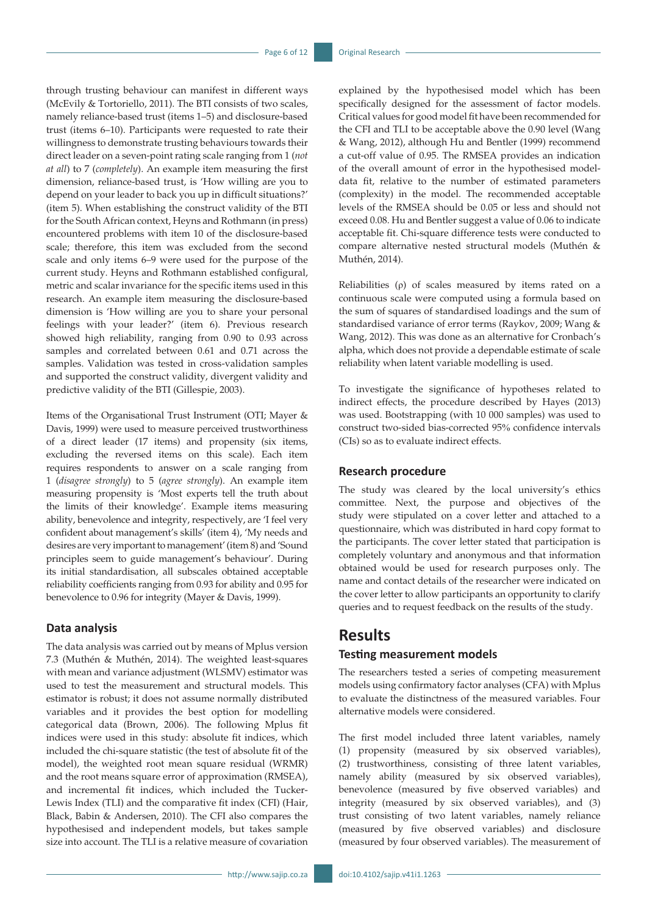through trusting behaviour can manifest in different ways (McEvily & Tortoriello, 2011). The BTI consists of two scales, namely reliance-based trust (items 1–5) and disclosure-based trust (items 6–10). Participants were requested to rate their willingness to demonstrate trusting behaviours towards their direct leader on a seven-point rating scale ranging from 1 (*not at all*) to 7 (*completely*). An example item measuring the first dimension, reliance-based trust, is 'How willing are you to depend on your leader to back you up in difficult situations?' (item 5). When establishing the construct validity of the BTI for the South African context, Heyns and Rothmann (in press) encountered problems with item 10 of the disclosure-based scale; therefore, this item was excluded from the second scale and only items 6–9 were used for the purpose of the current study. Heyns and Rothmann established configural, metric and scalar invariance for the specific items used in this research. An example item measuring the disclosure-based dimension is 'How willing are you to share your personal feelings with your leader?' (item 6). Previous research showed high reliability, ranging from 0.90 to 0.93 across samples and correlated between 0.61 and 0.71 across the samples. Validation was tested in cross-validation samples and supported the construct validity, divergent validity and predictive validity of the BTI (Gillespie, 2003).

Items of the Organisational Trust Instrument (OTI; Mayer & Davis, 1999) were used to measure perceived trustworthiness of a direct leader (17 items) and propensity (six items, excluding the reversed items on this scale). Each item requires respondents to answer on a scale ranging from 1 (*disagree strongly*) to 5 (*agree strongly*). An example item measuring propensity is 'Most experts tell the truth about the limits of their knowledge'. Example items measuring ability, benevolence and integrity, respectively, are 'I feel very confident about management's skills' (item 4), 'My needs and desires are very important to management' (item 8) and 'Sound principles seem to guide management's behaviour'. During its initial standardisation, all subscales obtained acceptable reliability coefficients ranging from 0.93 for ability and 0.95 for benevolence to 0.96 for integrity (Mayer & Davis, 1999).

### **Data analysis**

The data analysis was carried out by means of Mplus version 7.3 (Muthén & Muthén, 2014). The weighted least-squares with mean and variance adjustment (WLSMV) estimator was used to test the measurement and structural models. This estimator is robust; it does not assume normally distributed variables and it provides the best option for modelling categorical data (Brown, 2006). The following Mplus fit indices were used in this study: absolute fit indices, which included the chi-square statistic (the test of absolute fit of the model), the weighted root mean square residual (WRMR) and the root means square error of approximation (RMSEA), and incremental fit indices, which included the Tucker-Lewis Index (TLI) and the comparative fit index (CFI) (Hair, Black, Babin & Andersen, 2010). The CFI also compares the hypothesised and independent models, but takes sample size into account. The TLI is a relative measure of covariation

explained by the hypothesised model which has been specifically designed for the assessment of factor models. Critical values for good model fit have been recommended for the CFI and TLI to be acceptable above the 0.90 level (Wang & Wang, 2012), although Hu and Bentler (1999) recommend a cut-off value of 0.95. The RMSEA provides an indication of the overall amount of error in the hypothesised modeldata fit, relative to the number of estimated parameters (complexity) in the model. The recommended acceptable levels of the RMSEA should be 0.05 or less and should not exceed 0.08. Hu and Bentler suggest a value of 0.06 to indicate acceptable fit. Chi-square difference tests were conducted to compare alternative nested structural models (Muthén & Muthén, 2014).

Reliabilities (ρ) of scales measured by items rated on a continuous scale were computed using a formula based on the sum of squares of standardised loadings and the sum of standardised variance of error terms (Raykov, 2009; Wang & Wang, 2012). This was done as an alternative for Cronbach's alpha, which does not provide a dependable estimate of scale reliability when latent variable modelling is used.

To investigate the significance of hypotheses related to indirect effects, the procedure described by Hayes (2013) was used. Bootstrapping (with 10 000 samples) was used to construct two-sided bias-corrected 95% confidence intervals (CIs) so as to evaluate indirect effects.

### **Research procedure**

The study was cleared by the local university's ethics committee. Next, the purpose and objectives of the study were stipulated on a cover letter and attached to a questionnaire, which was distributed in hard copy format to the participants. The cover letter stated that participation is completely voluntary and anonymous and that information obtained would be used for research purposes only. The name and contact details of the researcher were indicated on the cover letter to allow participants an opportunity to clarify queries and to request feedback on the results of the study.

### **Results**

#### **Testing measurement models**

The researchers tested a series of competing measurement models using confirmatory factor analyses (CFA) with Mplus to evaluate the distinctness of the measured variables. Four alternative models were considered.

The first model included three latent variables, namely (1) propensity (measured by six observed variables), (2) trustworthiness, consisting of three latent variables, namely ability (measured by six observed variables), benevolence (measured by five observed variables) and integrity (measured by six observed variables), and (3) trust consisting of two latent variables, namely reliance (measured by five observed variables) and disclosure (measured by four observed variables). The measurement of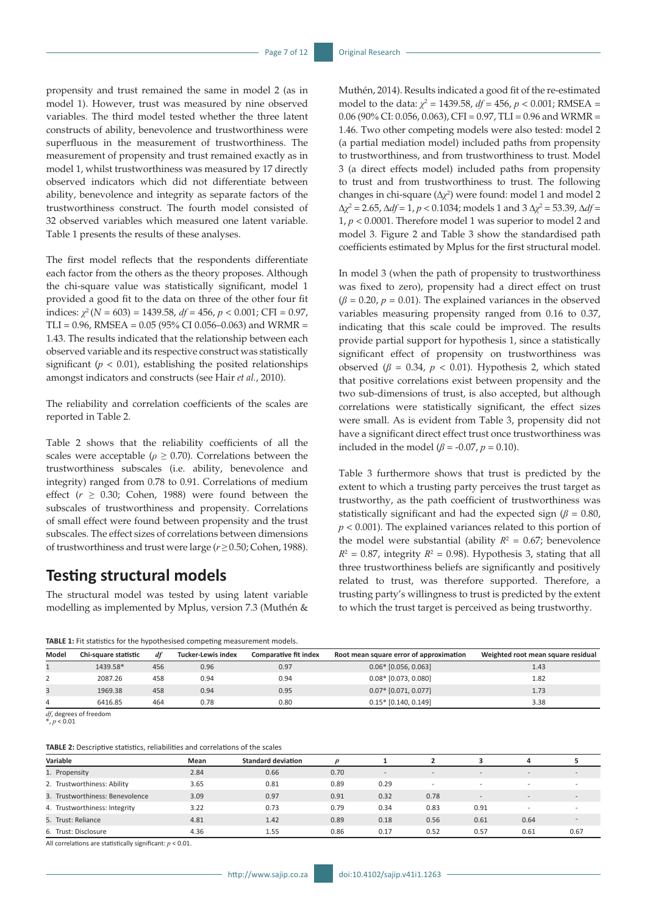propensity and trust remained the same in model 2 (as in model 1). However, trust was measured by nine observed variables. The third model tested whether the three latent constructs of ability, benevolence and trustworthiness were superfluous in the measurement of trustworthiness. The measurement of propensity and trust remained exactly as in model 1, whilst trustworthiness was measured by 17 directly observed indicators which did not differentiate between ability, benevolence and integrity as separate factors of the trustworthiness construct. The fourth model consisted of 32 observed variables which measured one latent variable. Table 1 presents the results of these analyses.

The first model reflects that the respondents differentiate each factor from the others as the theory proposes. Although the chi-square value was statistically significant, model 1 provided a good fit to the data on three of the other four fit indices: *χ*2 (*N* = 603) = 1439.58, *df* = 456, *p* < 0.001; CFI = 0.97, TLI = 0.96, RMSEA = 0.05 (95% CI 0.056–0.063) and WRMR = 1.43. The results indicated that the relationship between each observed variable and its respective construct was statistically significant ( $p < 0.01$ ), establishing the posited relationships amongst indicators and constructs (see Hair *et al.*, 2010).

The reliability and correlation coefficients of the scales are reported in Table 2.

Table 2 shows that the reliability coefficients of all the scales were acceptable ( $\rho \geq 0.70$ ). Correlations between the trustworthiness subscales (i.e. ability, benevolence and integrity) ranged from 0.78 to 0.91. Correlations of medium effect ( $r \geq 0.30$ ; Cohen, 1988) were found between the subscales of trustworthiness and propensity. Correlations of small effect were found between propensity and the trust subscales. The effect sizes of correlations between dimensions of trustworthiness and trust were large (*r* ≥ 0.50; Cohen, 1988).

### **Testing structural models**

The structural model was tested by using latent variable modelling as implemented by Mplus, version 7.3 (Muthén & Muthén, 2014). Results indicated a good fit of the re-estimated model to the data:  $χ^2 = 1439.58$ ,  $df = 456$ ,  $p < 0.001$ ; RMSEA = 0.06 (90% CI: 0.056, 0.063), CFI = 0.97, TLI = 0.96 and WRMR = 1.46. Two other competing models were also tested: model 2 (a partial mediation model) included paths from propensity to trustworthiness, and from trustworthiness to trust. Model 3 (a direct effects model) included paths from propensity to trust and from trustworthiness to trust. The following changes in chi-square (∆*χ*<sup>2</sup> ) were found: model 1 and model 2  $Δχ² = 2.65, Δdf = 1, p < 0.1034$ ; models 1 and 3 Δ*χ*<sup>2</sup> = 53.39, Δ*df* = 1, *p* < 0.0001. Therefore model 1 was superior to model 2 and model 3. Figure 2 and Table 3 show the standardised path coefficients estimated by Mplus for the first structural model.

In model 3 (when the path of propensity to trustworthiness was fixed to zero), propensity had a direct effect on trust  $(\beta = 0.20, p = 0.01)$ . The explained variances in the observed variables measuring propensity ranged from 0.16 to 0.37, indicating that this scale could be improved. The results provide partial support for hypothesis 1, since a statistically significant effect of propensity on trustworthiness was observed ( $\beta$  = 0.34,  $p$  < 0.01). Hypothesis 2, which stated that positive correlations exist between propensity and the two sub-dimensions of trust, is also accepted, but although correlations were statistically significant, the effect sizes were small. As is evident from Table 3, propensity did not have a significant direct effect trust once trustworthiness was included in the model ( $β = -0.07, p = 0.10$ ).

Table 3 furthermore shows that trust is predicted by the extent to which a trusting party perceives the trust target as trustworthy, as the path coefficient of trustworthiness was statistically significant and had the expected sign ( $\beta$  = 0.80, *p* < 0.001). The explained variances related to this portion of the model were substantial (ability  $R^2 = 0.67$ ; benevolence  $R^2 = 0.87$ , integrity  $R^2 = 0.98$ ). Hypothesis 3, stating that all three trustworthiness beliefs are significantly and positively related to trust, was therefore supported. Therefore, a trusting party's willingness to trust is predicted by the extent to which the trust target is perceived as being trustworthy.

**TABLE 1:** Fit statistics for the hypothesised competing measurement models.

| Model | Chi-square statistic | df  | Tucker-Lewis index | <b>Comparative fit index</b> | Root mean square error of approximation | Weighted root mean square residual |
|-------|----------------------|-----|--------------------|------------------------------|-----------------------------------------|------------------------------------|
|       | 1439.58*             | 456 | 0.96               | 0.97                         | $0.06*$ [0.056, 0.063]                  | 1.43                               |
|       | 2087.26              | 458 | 0.94               | 0.94                         | $0.08*$ [0.073, 0.080]                  | 1.82                               |
|       | 1969.38              | 458 | 0.94               | 0.95                         | $0.07*$ [0.071, 0.077]                  | 1.73                               |
| 4     | 6416.85              | 464 | 0.78               | 0.80                         | $0.15*$ [0.140, 0.149]                  | 3.38                               |

*df*, degrees of freedom \*, *p* < 0.01

**TABLE 2:** Descriptive statistics, reliabilities and correlations of the scales

| Variable                        | Mean | <b>Standard deviation</b> |      |      |                          |                          |                          |                          |
|---------------------------------|------|---------------------------|------|------|--------------------------|--------------------------|--------------------------|--------------------------|
| 1. Propensity                   | 2.84 | 0.66                      | 0.70 |      | $\overline{\phantom{a}}$ | $\overline{\phantom{a}}$ | $\sim$                   | $\sim$                   |
| 2. Trustworthiness: Ability     | 3.65 | 0.81                      | 0.89 | 0.29 | $\overline{\phantom{a}}$ | . .                      | $\overline{\phantom{0}}$ | $\overline{\phantom{a}}$ |
| 3. Trustworthiness: Benevolence | 3.09 | 0.97                      | 0.91 | 0.32 | 0.78                     | $\overline{\phantom{a}}$ | $\overline{\phantom{a}}$ | $\sim$                   |
| 4. Trustworthiness: Integrity   | 3.22 | 0.73                      | 0.79 | 0.34 | 0.83                     | 0.91                     |                          | $\overline{\phantom{0}}$ |
| 5. Trust: Reliance              | 4.81 | 1.42                      | 0.89 | 0.18 | 0.56                     | 0.61                     | 0.64                     | $\overline{\phantom{a}}$ |
| 6. Trust: Disclosure            | 4.36 | 1.55                      | 0.86 | 0.17 | 0.52                     | 0.57                     | 0.61                     | 0.67                     |

All correlations are statistically significant: *p* < 0.01.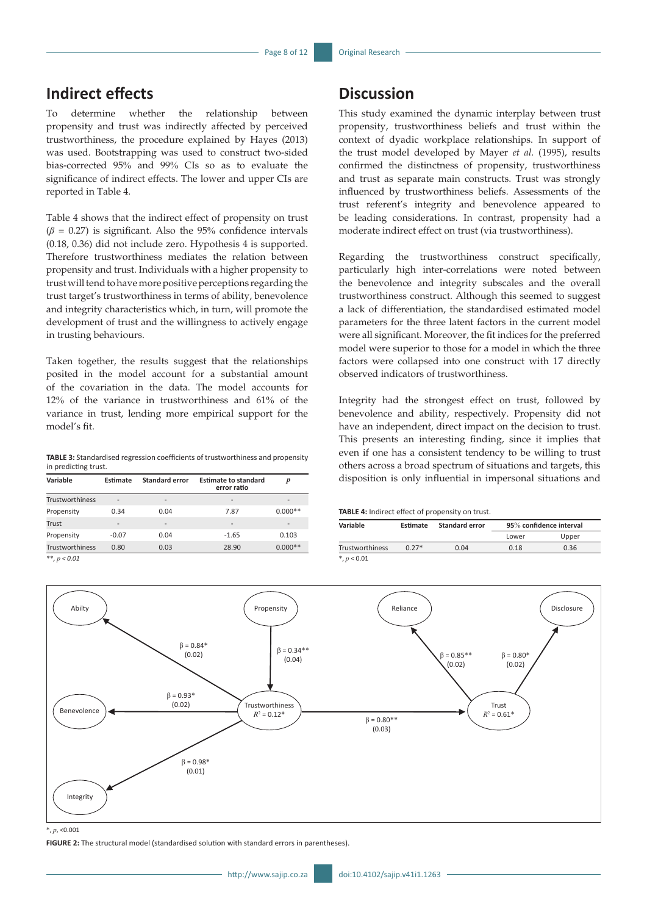# **Indirect effects**

To determine whether the relationship between propensity and trust was indirectly affected by perceived trustworthiness, the procedure explained by Hayes (2013) was used. Bootstrapping was used to construct two-sided bias-corrected 95% and 99% CIs so as to evaluate the significance of indirect effects. The lower and upper CIs are reported in Table 4.

Table 4 shows that the indirect effect of propensity on trust  $(\beta = 0.27)$  is significant. Also the 95% confidence intervals (0.18, 0.36) did not include zero. Hypothesis 4 is supported. Therefore trustworthiness mediates the relation between propensity and trust. Individuals with a higher propensity to trust will tend to have more positive perceptions regarding the trust target's trustworthiness in terms of ability, benevolence and integrity characteristics which, in turn, will promote the development of trust and the willingness to actively engage in trusting behaviours.

Taken together, the results suggest that the relationships posited in the model account for a substantial amount of the covariation in the data. The model accounts for 12% of the variance in trustworthiness and 61% of the variance in trust, lending more empirical support for the model's fit.

**TABLE 3:** Standardised regression coefficients of trustworthiness and propensity in predicting trust.

| Variable        | Estimate                     | <b>Standard error</b>        | <b>Estimate to standard</b><br>error ratio | p         |
|-----------------|------------------------------|------------------------------|--------------------------------------------|-----------|
| Trustworthiness | $\qquad \qquad \blacksquare$ | $\qquad \qquad \blacksquare$ | $\overline{\phantom{0}}$                   | -         |
| Propensity      | 0.34                         | 0.04                         | 7.87                                       | $0.000**$ |
| Trust           | $\qquad \qquad \blacksquare$ | $\qquad \qquad \blacksquare$ | -                                          | -         |
| Propensity      | $-0.07$                      | 0.04                         | $-1.65$                                    | 0.103     |
| Trustworthiness | 0.80                         | 0.03                         | 28.90                                      | $0.000**$ |
| **, $p < 0.01$  |                              |                              |                                            |           |

# **Discussion**

This study examined the dynamic interplay between trust propensity, trustworthiness beliefs and trust within the context of dyadic workplace relationships. In support of the trust model developed by Mayer *et al.* (1995), results confirmed the distinctness of propensity, trustworthiness and trust as separate main constructs. Trust was strongly influenced by trustworthiness beliefs. Assessments of the trust referent's integrity and benevolence appeared to be leading considerations. In contrast, propensity had a moderate indirect effect on trust (via trustworthiness).

Regarding the trustworthiness construct specifically, particularly high inter-correlations were noted between the benevolence and integrity subscales and the overall trustworthiness construct. Although this seemed to suggest a lack of differentiation, the standardised estimated model parameters for the three latent factors in the current model were all significant. Moreover, the fit indices for the preferred model were superior to those for a model in which the three factors were collapsed into one construct with 17 directly observed indicators of trustworthiness.

Integrity had the strongest effect on trust, followed by benevolence and ability, respectively. Propensity did not have an independent, direct impact on the decision to trust. This presents an interesting finding, since it implies that even if one has a consistent tendency to be willing to trust others across a broad spectrum of situations and targets, this disposition is only influential in impersonal situations and

#### **TABLE 4:** Indirect effect of propensity on trust.

| Variable        | Estimate | <b>Standard error</b> | 95% confidence interval |       |  |
|-----------------|----------|-----------------------|-------------------------|-------|--|
|                 |          |                       | Lower                   | Upper |  |
| Trustworthiness | $0.27*$  | 0.04                  | 0.18                    | 0.36  |  |
| *, $p < 0.01$   |          |                       |                         |       |  |



**FIGURE 2:** The structural model (standardised solution with standard errors in parentheses).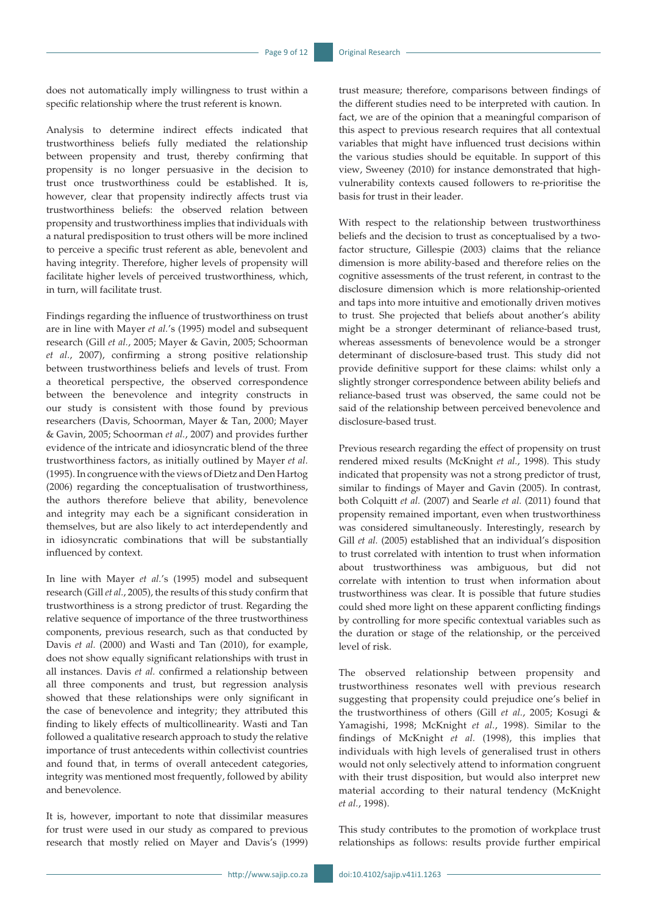does not automatically imply willingness to trust within a specific relationship where the trust referent is known.

Analysis to determine indirect effects indicated that trustworthiness beliefs fully mediated the relationship between propensity and trust, thereby confirming that propensity is no longer persuasive in the decision to trust once trustworthiness could be established. It is, however, clear that propensity indirectly affects trust via trustworthiness beliefs: the observed relation between propensity and trustworthiness implies that individuals with a natural predisposition to trust others will be more inclined to perceive a specific trust referent as able, benevolent and having integrity. Therefore, higher levels of propensity will facilitate higher levels of perceived trustworthiness, which, in turn, will facilitate trust.

Findings regarding the influence of trustworthiness on trust are in line with Mayer *et al.*'s (1995) model and subsequent research (Gill *et al.*, 2005; Mayer & Gavin, 2005; Schoorman *et al.*, 2007), confirming a strong positive relationship between trustworthiness beliefs and levels of trust. From a theoretical perspective, the observed correspondence between the benevolence and integrity constructs in our study is consistent with those found by previous researchers (Davis, Schoorman, Mayer & Tan, 2000; Mayer & Gavin, 2005; Schoorman *et al.*, 2007) and provides further evidence of the intricate and idiosyncratic blend of the three trustworthiness factors, as initially outlined by Mayer *et al.* (1995). In congruence with the views of Dietz and Den Hartog (2006) regarding the conceptualisation of trustworthiness, the authors therefore believe that ability, benevolence and integrity may each be a significant consideration in themselves, but are also likely to act interdependently and in idiosyncratic combinations that will be substantially influenced by context.

In line with Mayer *et al.*'s (1995) model and subsequent research (Gill *et al.*, 2005), the results of this study confirm that trustworthiness is a strong predictor of trust. Regarding the relative sequence of importance of the three trustworthiness components, previous research, such as that conducted by Davis *et al.* (2000) and Wasti and Tan (2010), for example, does not show equally significant relationships with trust in all instances. Davis *et al.* confirmed a relationship between all three components and trust, but regression analysis showed that these relationships were only significant in the case of benevolence and integrity; they attributed this finding to likely effects of multicollinearity. Wasti and Tan followed a qualitative research approach to study the relative importance of trust antecedents within collectivist countries and found that, in terms of overall antecedent categories, integrity was mentioned most frequently, followed by ability and benevolence.

It is, however, important to note that dissimilar measures for trust were used in our study as compared to previous research that mostly relied on Mayer and Davis's (1999)

trust measure; therefore, comparisons between findings of the different studies need to be interpreted with caution. In fact, we are of the opinion that a meaningful comparison of this aspect to previous research requires that all contextual variables that might have influenced trust decisions within the various studies should be equitable. In support of this view, Sweeney (2010) for instance demonstrated that highvulnerability contexts caused followers to re-prioritise the basis for trust in their leader.

With respect to the relationship between trustworthiness beliefs and the decision to trust as conceptualised by a twofactor structure, Gillespie (2003) claims that the reliance dimension is more ability-based and therefore relies on the cognitive assessments of the trust referent, in contrast to the disclosure dimension which is more relationship-oriented and taps into more intuitive and emotionally driven motives to trust. She projected that beliefs about another's ability might be a stronger determinant of reliance-based trust, whereas assessments of benevolence would be a stronger determinant of disclosure-based trust. This study did not provide definitive support for these claims: whilst only a slightly stronger correspondence between ability beliefs and reliance-based trust was observed, the same could not be said of the relationship between perceived benevolence and disclosure-based trust.

Previous research regarding the effect of propensity on trust rendered mixed results (McKnight *et al.*, 1998). This study indicated that propensity was not a strong predictor of trust, similar to findings of Mayer and Gavin (2005). In contrast, both Colquitt *et al.* (2007) and Searle *et al.* (2011) found that propensity remained important, even when trustworthiness was considered simultaneously. Interestingly, research by Gill *et al.* (2005) established that an individual's disposition to trust correlated with intention to trust when information about trustworthiness was ambiguous, but did not correlate with intention to trust when information about trustworthiness was clear. It is possible that future studies could shed more light on these apparent conflicting findings by controlling for more specific contextual variables such as the duration or stage of the relationship, or the perceived level of risk.

The observed relationship between propensity and trustworthiness resonates well with previous research suggesting that propensity could prejudice one's belief in the trustworthiness of others (Gill *et al.*, 2005; Kosugi & Yamagishi, 1998; McKnight *et al.*, 1998). Similar to the findings of McKnight *et al.* (1998), this implies that individuals with high levels of generalised trust in others would not only selectively attend to information congruent with their trust disposition, but would also interpret new material according to their natural tendency (McKnight *et al.*, 1998).

This study contributes to the promotion of workplace trust relationships as follows: results provide further empirical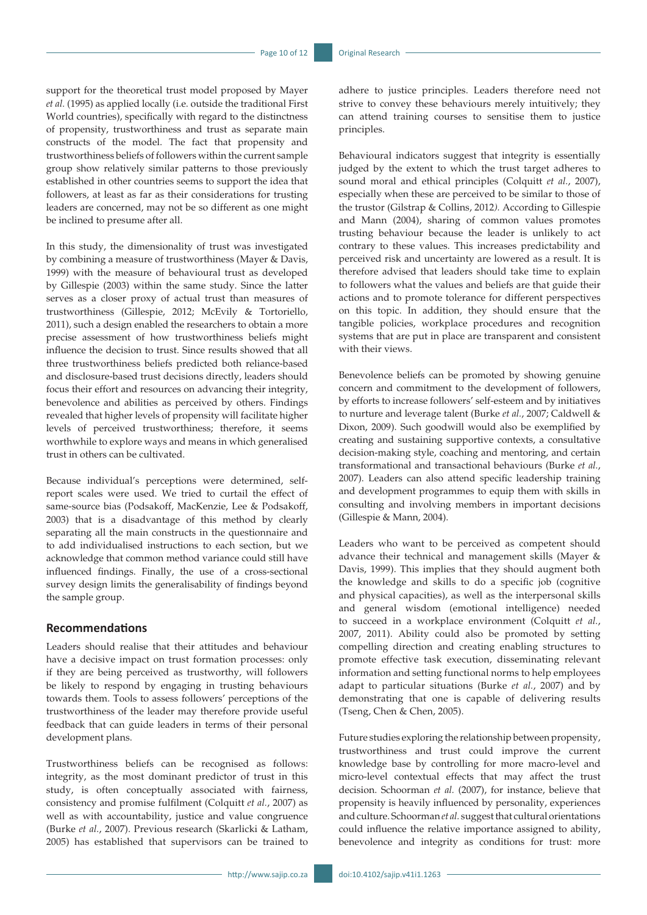support for the theoretical trust model proposed by Mayer *et al.* (1995) as applied locally (i.e. outside the traditional First World countries), specifically with regard to the distinctness of propensity, trustworthiness and trust as separate main constructs of the model. The fact that propensity and trustworthiness beliefs of followers within the current sample group show relatively similar patterns to those previously established in other countries seems to support the idea that followers, at least as far as their considerations for trusting leaders are concerned, may not be so different as one might be inclined to presume after all.

In this study, the dimensionality of trust was investigated by combining a measure of trustworthiness (Mayer & Davis, 1999) with the measure of behavioural trust as developed by Gillespie (2003) within the same study. Since the latter serves as a closer proxy of actual trust than measures of trustworthiness (Gillespie, 2012; McEvily & Tortoriello, 2011), such a design enabled the researchers to obtain a more precise assessment of how trustworthiness beliefs might influence the decision to trust. Since results showed that all three trustworthiness beliefs predicted both reliance-based and disclosure-based trust decisions directly, leaders should focus their effort and resources on advancing their integrity, benevolence and abilities as perceived by others. Findings revealed that higher levels of propensity will facilitate higher levels of perceived trustworthiness; therefore, it seems worthwhile to explore ways and means in which generalised trust in others can be cultivated.

Because individual's perceptions were determined, selfreport scales were used. We tried to curtail the effect of same-source bias (Podsakoff, MacKenzie, Lee & Podsakoff, 2003) that is a disadvantage of this method by clearly separating all the main constructs in the questionnaire and to add individualised instructions to each section, but we acknowledge that common method variance could still have influenced findings. Finally, the use of a cross-sectional survey design limits the generalisability of findings beyond the sample group.

### **Recommendations**

Leaders should realise that their attitudes and behaviour have a decisive impact on trust formation processes: only if they are being perceived as trustworthy, will followers be likely to respond by engaging in trusting behaviours towards them. Tools to assess followers' perceptions of the trustworthiness of the leader may therefore provide useful feedback that can guide leaders in terms of their personal development plans.

Trustworthiness beliefs can be recognised as follows: integrity, as the most dominant predictor of trust in this study, is often conceptually associated with fairness, consistency and promise fulfilment (Colquitt *et al.*, 2007) as well as with accountability, justice and value congruence (Burke *et al.*, 2007). Previous research (Skarlicki & Latham, 2005) has established that supervisors can be trained to

adhere to justice principles. Leaders therefore need not strive to convey these behaviours merely intuitively; they can attend training courses to sensitise them to justice principles.

Behavioural indicators suggest that integrity is essentially judged by the extent to which the trust target adheres to sound moral and ethical principles (Colquitt *et al.*, 2007), especially when these are perceived to be similar to those of the trustor (Gilstrap & Collins, 2012*).* According to Gillespie and Mann (2004), sharing of common values promotes trusting behaviour because the leader is unlikely to act contrary to these values. This increases predictability and perceived risk and uncertainty are lowered as a result. It is therefore advised that leaders should take time to explain to followers what the values and beliefs are that guide their actions and to promote tolerance for different perspectives on this topic. In addition, they should ensure that the tangible policies, workplace procedures and recognition systems that are put in place are transparent and consistent with their views.

Benevolence beliefs can be promoted by showing genuine concern and commitment to the development of followers, by efforts to increase followers' self-esteem and by initiatives to nurture and leverage talent (Burke *et al.*, 2007; Caldwell & Dixon, 2009). Such goodwill would also be exemplified by creating and sustaining supportive contexts, a consultative decision-making style, coaching and mentoring, and certain transformational and transactional behaviours (Burke *et al.*, 2007). Leaders can also attend specific leadership training and development programmes to equip them with skills in consulting and involving members in important decisions (Gillespie & Mann, 2004).

Leaders who want to be perceived as competent should advance their technical and management skills (Mayer & Davis, 1999). This implies that they should augment both the knowledge and skills to do a specific job (cognitive and physical capacities), as well as the interpersonal skills and general wisdom (emotional intelligence) needed to succeed in a workplace environment (Colquitt *et al.*, 2007, 2011). Ability could also be promoted by setting compelling direction and creating enabling structures to promote effective task execution, disseminating relevant information and setting functional norms to help employees adapt to particular situations (Burke *et al.*, 2007) and by demonstrating that one is capable of delivering results (Tseng, Chen & Chen, 2005).

Future studies exploring the relationship between propensity, trustworthiness and trust could improve the current knowledge base by controlling for more macro-level and micro-level contextual effects that may affect the trust decision. Schoorman *et al.* (2007), for instance, believe that propensity is heavily influenced by personality, experiences and culture. Schoorman *et al.* suggest that cultural orientations could influence the relative importance assigned to ability, benevolence and integrity as conditions for trust: more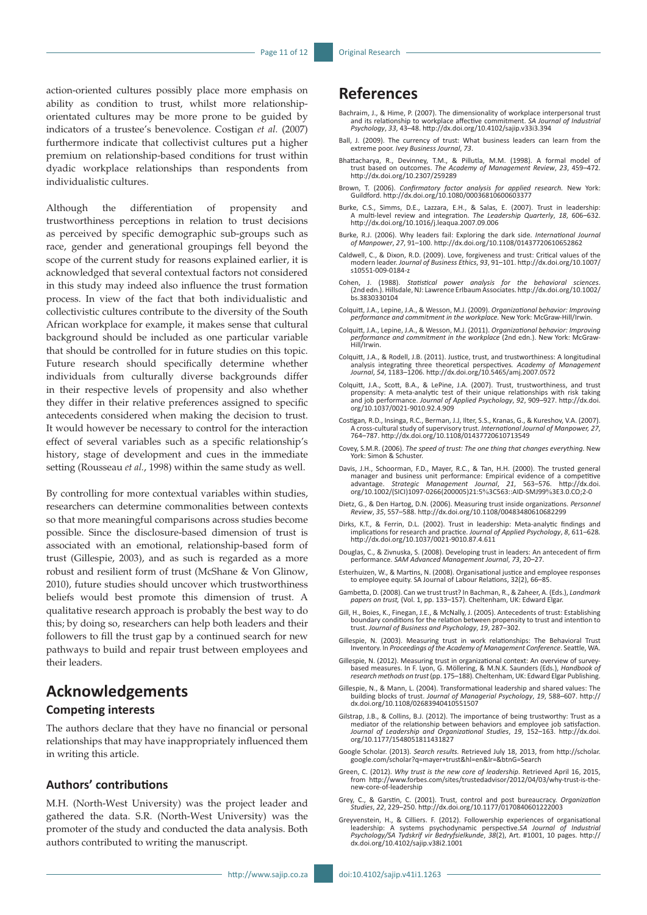action-oriented cultures possibly place more emphasis on ability as condition to trust, whilst more relationshiporientated cultures may be more prone to be guided by indicators of a trustee's benevolence. Costigan *et al.* (2007) furthermore indicate that collectivist cultures put a higher premium on relationship-based conditions for trust within dyadic workplace relationships than respondents from individualistic cultures.

Although the differentiation of propensity and trustworthiness perceptions in relation to trust decisions as perceived by specific demographic sub-groups such as race, gender and generational groupings fell beyond the scope of the current study for reasons explained earlier, it is acknowledged that several contextual factors not considered in this study may indeed also influence the trust formation process. In view of the fact that both individualistic and collectivistic cultures contribute to the diversity of the South African workplace for example, it makes sense that cultural background should be included as one particular variable that should be controlled for in future studies on this topic. Future research should specifically determine whether individuals from culturally diverse backgrounds differ in their respective levels of propensity and also whether they differ in their relative preferences assigned to specific antecedents considered when making the decision to trust. It would however be necessary to control for the interaction effect of several variables such as a specific relationship's history, stage of development and cues in the immediate setting (Rousseau *et al.*, 1998) within the same study as well.

By controlling for more contextual variables within studies, researchers can determine commonalities between contexts so that more meaningful comparisons across studies become possible. Since the disclosure-based dimension of trust is associated with an emotional, relationship-based form of trust (Gillespie, 2003), and as such is regarded as a more robust and resilient form of trust (McShane & Von Glinow, 2010), future studies should uncover which trustworthiness beliefs would best promote this dimension of trust. A qualitative research approach is probably the best way to do this; by doing so, researchers can help both leaders and their followers to fill the trust gap by a continued search for new pathways to build and repair trust between employees and their leaders.

### **Acknowledgements Competing interests**

The authors declare that they have no financial or personal relationships that may have inappropriately influenced them in writing this article.

### **Authors' contributions**

M.H. (North-West University) was the project leader and gathered the data. S.R. (North-West University) was the promoter of the study and conducted the data analysis. Both authors contributed to writing the manuscript.

## **References**

- Bachraim, J., & Hime, P. (2007). The dimensionality of workplace interpersonal trust and its relationship to workplace affective commitment. *SA Journal of Industrial Psychology*, *33*, 43–48. <http://dx.doi.org/10.4102/sajip.v33i3.394>
- Ball, J. (2009). The currency of trust: What business leaders can learn from the extreme poor. *Ivey Business Journal*, *73*.
- Bhattacharya, R., Devinney, T.M., & Pillutla, M.M. (1998). A formal model of trust based on outcomes. *The Academy of Management Review*, *23*, 459–472. <http://dx.doi.org/10.2307/259289>
- Brown, T. (2006). *Confirmatory factor analysis for applied research.* New York: Guildford. <http://dx.doi.org/10.1080/00036810600603377>
- Burke, C.S., Simms, D.E., Lazzara, E.H., & Salas, E. (2007). Trust in leadership: A multi-level review and integration. *The Leadership Quarterly*, *18*, 606–632. <http://dx.doi.org/10.1016/j.leaqua.2007.09.006>
- Burke, R.J. (2006). Why leaders fail: Exploring the dark side. *International Journal of Manpower*, *27*, 91–100. <http://dx.doi.org/10.1108/01437720610652862>
- Caldwell, C., & Dixon, R.D. (2009). Love, forgiveness and trust: Critical values of the modern leader. *Journal of Business Ethics*, *93*, 91–101. [http://dx.doi.org/10.1007/](http://dx.doi.org/10.1007/s10551-009-0184-z) [s10551-009-0184-z](http://dx.doi.org/10.1007/s10551-009-0184-z)
- Cohen, J. (1988). *Statistical power analysis for the behavioral sciences*. (2nd edn.). Hillsdale, NJ: Lawrence Erlbaum Associates. [http://dx.doi.org/10.1002/](http://dx.doi.org/10.1002/bs.3830330104) [bs.3830330104](http://dx.doi.org/10.1002/bs.3830330104)
- Colquitt, J.A., Lepine, J.A., & Wesson, M.J. (2009). *Organizational behavior: Improving performance and commitment in the workplace.* New York: McGraw-Hill/Irwin.
- Colquitt, J.A., Lepine, J.A., & Wesson, M.J. (2011). *Organizational behavior: Improving performance and commitment in the workplace* (2nd edn.). New York: McGraw-Hill/Irwin.
- Colquitt, J.A., & Rodell, J.B. (2011). Justice, trust, and trustworthiness: A longitudinal<br>analysis integrating three theoretical perspectives. Academy of Management<br>Journal, 54, 1183-1206. http://dx.doi.org/10.5465/amj.20
- Colquitt, J.A., Scott, B.A., & LePine, J.A. (2007). Trust, trustworthiness, and trust propensity: A meta-analytic test of their unique relationships with risk taking and job performance. *Journal of Applied Psychology*, *92*, 909–927. [http://dx.doi.](http://dx.doi.org/10.1037/0021-9010.92.4.909) [org/10.1037/0021-9010.92.4.909](http://dx.doi.org/10.1037/0021-9010.92.4.909)
- Costigan*,* R.D., Insinga, R.C., Berman, J.J, Ilter, S.S., Kranas, G., & Kureshov, V.A. (2007). A cross-cultural study of supervisory trust. *International Journal of Manpower, 27*, 764–787. <http://dx.doi.org/10.1108/01437720610713549>
- Covey, S.M.R. (2006). *The speed of trust: The one thing that changes everything.* New York: Simon & Schuster.
- Davis, J.H., Schoorman, F.D., Mayer, R.C., & Tan, H.H. (2000). The trusted general<br>manager and business unit performance: Empirical evidence of a competitive<br>advantage. Strategic Management Journal, 21, 563-576. http://dx. [org/10.1002/\(SICI\)1097-0266\(200005\)21:5](http://dx.doi.org/10.1002/(SICI)1097-0266(200005)21:5%3C563::AID-SMJ99%3E3.0.CO;2-0)%3C563::AID-SMJ99%3E3.0.CO;2-0
- Dietz, G., & Den Hartog, D.N. (2006). Measuring trust inside organizations. *Personnel Review*, *35*, 557–588. <http://dx.doi.org/10.1108/00483480610682299>
- Dirks, K.T., & Ferrin, D.L. (2002). Trust in leadership: Meta-analytic findings and implications for research and practice. *Journal of Applied Psychology*, *8*, 611–628*.*  <http://dx.doi.org/10.1037/0021-9010.87.4.611>
- Douglas, C., & Zivnuska, S. (2008). Developing trust in leaders: An antecedent of firm performance. *SAM Advanced Management Journal*, *73*, 20–27.
- Esterhuizen, W., & Martins, N. (2008). Organisational justice and employee responses to employee equity. SA Journal of Labour Relations, 32(2), 66–85.
- Gambetta, D. (2008). Can we trust trust? In Bachman, R., & Zaheer, A. (Eds.), *Landmark papers on trust,* (Vol. 1, pp. 133–157). Cheltenham, UK: Edward Elgar.
- Gill, H., Boies, K., Finegan, J.E., & McNally, J. (2005). Antecedents of trust: Establishing boundary conditions for the relation between propensity to trust and intention to trust. *Journal of Business and Psychology*, *19*, 287–302.
- Gillespie, N. (2003). Measuring trust in work relationships: The Behavioral Trust Inventory. In *Proceedings of the Academy of Management Conference*. Seattle, WA.
- Gillespie, N. (2012). Measuring trust in organizational context: An overview of survey-based measures. In F. Lyon, G. Möllering, & M.N.K. Saunders (Eds.), *Handbook of research methods on trust* (pp. 175–188). Cheltenham, UK: Edward Elgar Publishing.
- Gillespie, N., & Mann, L. (2004). Transformational leadership and shared values: The building blocks of trust. *Journal of Managerial Psychology*, *19*, 588–607. [http://](http://dx.doi.org/10.1108/02683940410551507) [dx.doi.org/10.1108/02683940410551507](http://dx.doi.org/10.1108/02683940410551507)
- Gilstrap, J.B., & Collins, B.J. (2012). The importance of being trustworthy: Trust as a mediator of the relationship between behaviors and employee job satisfaction. *Journal of Leadership and Organizational Studies*, *19*, 152–163. [http://dx.doi.](http://dx.doi.org/10.1177/1548051811431827) [org/10.1177/1548051811431827](http://dx.doi.org/10.1177/1548051811431827)
- Google Scholar. (2013). *Search results.* Retrieved July 18, 2013, from [http://scholar.](http://scholar.google.com/scholar?q=mayer+trust&hl=en&lr=&btnG=Search) [google.com/scholar?q=mayer+trust&hl=en&lr=&btnG=Search](http://scholar.google.com/scholar?q=mayer+trust&hl=en&lr=&btnG=Search)
- Green, C. (2012). *Why trust is the new core of leadership*. Retrieved April 16, 2015, from [http://www.forbes.com/sites/trustedadvisor/2012/04/03/why-trust-is-the](http://www.forbes.com/sites/trustedadvisor/2012/04/03/why-trust-is-the-new-core-of-leadership)[new-core-of-leadership](http://www.forbes.com/sites/trustedadvisor/2012/04/03/why-trust-is-the-new-core-of-leadership)
- Grey, C., & Garstin, C. (2001). Trust, control and post bureaucracy. *Organization Studies*, *22*, 229–250.<http://dx.doi.org/10.1177/0170840601222003>
- Greyvenstein, H., & Cilliers. F. (2012). Followership experiences of organisational leadership: A systems psychodynamic perspective.*SA Journal of Industrial Psychology/SA Tydskrif vir Bedryfsielkunde*, *38*(2), Art. #1001, 10 pages. [http://](http://dx.doi.org/10.4102/sajip.v38i2.1001) [dx.doi.org/10.4102/sajip.v38i2.1001](http://dx.doi.org/10.4102/sajip.v38i2.1001)